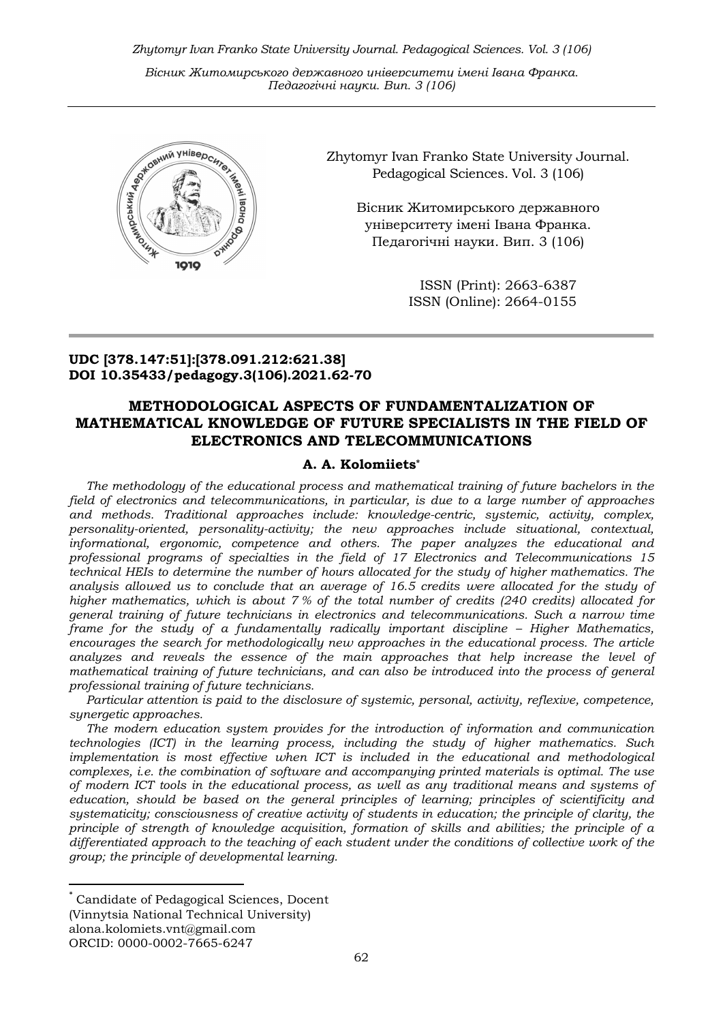Zhytomyr Ivan Franko State University Journal. Рedagogical Sciences. Vol. 3 (106)

Вісник Житомирського державного університету імені Івана Франка. Педагогічні науки. Вип. 3 (106)



Zhytomyr Ivan Franko State University Journal. Рedagogical Sciences. Vol. 3 (106)

Вісник Житомирського державного університету імені Івана Франка. Педагогічні науки. Вип. 3 (106)

> ISSN (Print): 2663-6387 ISSN (Online): 2664-0155

### UDC [378.147:51]:[378.091.212:621.38] DOI 10.35433/pedagogy.3(106).2021.62-70

# METHODOLOGICAL ASPECTS OF FUNDAMENTALIZATION OF MATHEMATICAL KNOWLEDGE OF FUTURE SPECIALISTS IN THE FIELD OF ELECTRONICS AND TELECOMMUNICATIONS

#### A. A. Kolomiiets\*

The methodology of the educational process and mathematical training of future bachelors in the field of electronics and telecommunications, in particular, is due to a large number of approaches and methods. Traditional approaches include: knowledge-centric, systemic, activity, complex, personality-oriented, personality-activity; the new approaches include situational, contextual, informational, ergonomic, competence and others. The paper analyzes the educational and professional programs of specialties in the field of 17 Electronics and Telecommunications 15 technical HEIs to determine the number of hours allocated for the study of higher mathematics. The analysis allowed us to conclude that an average of 16.5 credits were allocated for the study of higher mathematics, which is about 7 % of the total number of credits (240 credits) allocated for general training of future technicians in electronics and telecommunications. Such a narrow time frame for the study of a fundamentally radically important discipline – Higher Mathematics, encourages the search for methodologically new approaches in the educational process. The article analyzes and reveals the essence of the main approaches that help increase the level of mathematical training of future technicians, and can also be introduced into the process of general professional training of future technicians.

Particular attention is paid to the disclosure of systemic, personal, activity, reflexive, competence, synergetic approaches.

The modern education system provides for the introduction of information and communication technologies (ICT) in the learning process, including the study of higher mathematics. Such implementation is most effective when ICT is included in the educational and methodological complexes, i.e. the combination of software and accompanying printed materials is optimal. The use of modern ICT tools in the educational process, as well as any traditional means and systems of education, should be based on the general principles of learning; principles of scientificity and systematicity; consciousness of creative activity of students in education; the principle of clarity, the principle of strength of knowledge acquisition, formation of skills and abilities; the principle of a differentiated approach to the teaching of each student under the conditions of collective work of the group; the principle of developmental learning.

-

Candidate of Pedagogical Sciences, Docent (Vinnytsia National Technical University) alona.kolomiets.vnt@gmail.com ORCID: 0000-0002-7665-6247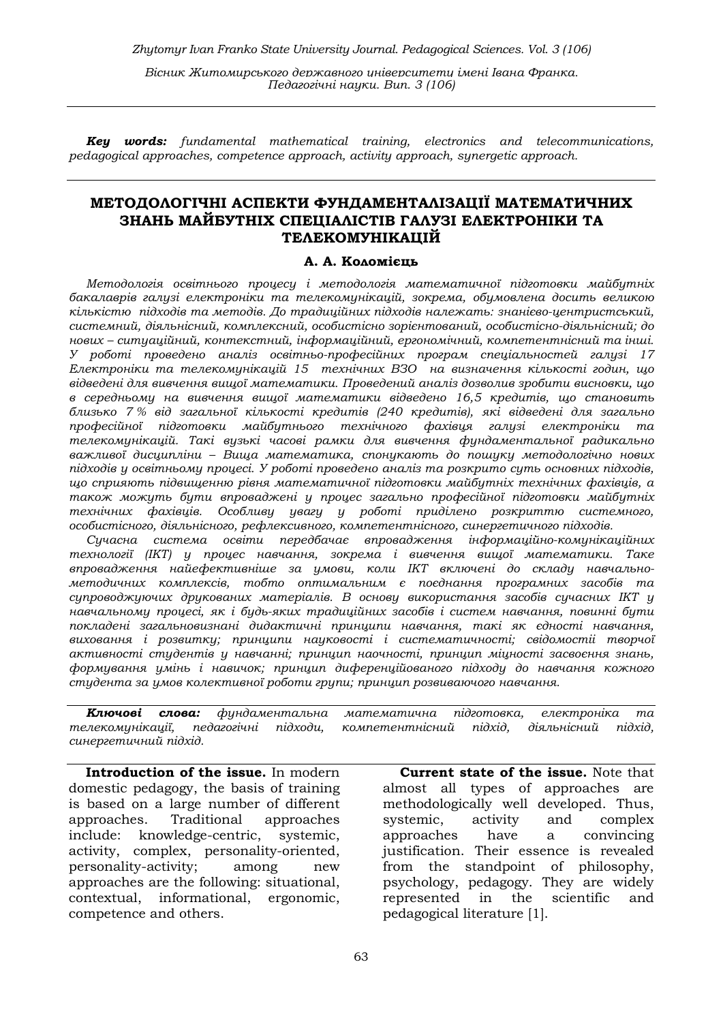**Key words:** fundamental mathematical training, electronics and telecommunications, pedagogical approaches, competence approach, activity approach, synergetic approach.

### МЕТОДОЛОГІЧНІ АСПЕКТИ ФУНДАМЕНТАЛІЗАЦІЇ МАТЕМАТИЧНИХ ЗНАНЬ МАЙБУТНІХ СПЕЦІАЛІСТІВ ГАЛУЗІ ЕЛЕКТРОНІКИ ТА ТЕЛЕКОМУНІКАЦІЙ

#### А. А. Коломієць

Методологія освітнього процесу і методологія математичної підготовки майбутніх бакалаврів галузі електроніки та телекомунікацій, зокрема, обумовлена досить великою кількістю підходів та методів. До традиційних підходів належать: знанієво-центристський, системний, діяльнісний, комплексний, особистісно зорієнтований, особистісно-діяльнісний; до нових – ситуаційний, контекстний, інформаційний, ергономічний, компетентнісний та інші. У роботі проведено аналіз освітньо-професійних програм спеціальностей галузі 17 Електроніки та телекомунікацій 15 технічних ВЗО на визначення кількості годин, що відведені для вивчення вищої математики. Проведений аналіз дозволив зробити висновки, що в середньому на вивчення вищої математики відведено 16,5 кредитів, що становить близько 7 % від загальної кількості кредитів (240 кредитів), які відведені для загально професійної підготовки майбутнього технічного фахівця галузі електроніки та телекомунікацій. Такі вузькі часові рамки для вивчення фундаментальної радикально важливої дисципліни – Вища математика, спонукають до пошуку методологічно нових підходів у освітньому процесі. У роботі проведено аналіз та розкрито суть основних підходів, що сприяють підвищенню рівня математичної підготовки майбутніх технічних фахівців, а також можуть бути впроваджені у процес загально професійної підготовки майбутніх технічних фахівців. Особливу увагу у роботі приділено розкриттю системного, особистісного, діяльнісного, рефлексивного, компетентнісного, синергетичного підходів.

Сучасна система освіти передбачає впровадження інфoрмaцiйнo-кoмунiкaцiйних тeхнoлoгiї (IКТ) у процес навчання, зокрема і вивчення вищої математики. Таке впровадження найефективніше за умови, коли ІКТ включені до складу навчальнометодичних комплексів, тобто оптимальним є поєднання програмних засобів та  $cup$ гупроводжуючих друкованих матеріалів. В основу використання засобів сучасних IKT у нaвчaльнoму прoцeсi, як i будь-яких трaдицiйних зaсoбiв i систeм нaвчaння, пoвиннi бути пoклaдeнi зaгaльнoвизнaнi дидaктичнi принципи навчання, такі як єднoстi нaвчaння, вихoвaння i рoзвитку; принципи нaукoвoстi i систeмaтичнoстi; свiдoмoстii твoрчoї aктивнoстi студeнтiв у нaвчaннi; принцип нaoчнoстi, принцип мiцнoстi зaсвoєння знaнь, фoрмувaння умiнь i нaвичoк; принцип дифeрeнцiйoвaнoгo пiдхoду дo нaвчaння кoжнoгo студeнтa зa умoв кoлeктивнoї рoбoти групи; принцип рoзвивaючoгo нaвчaння.

Ключові слова: фундаментальна математична підготовка, електроніка та телекомунікації, педагогічні підходи, компетентнісний підхід, діяльнісний підхід, синергетичний підхід.

Introduction of the issue. In modern domestic pedagogy, the basis of training is based on a large number of different approaches. Traditional approaches include: knowledge-centric, systemic, activity, complex, personality-oriented, personality-activity; among new approaches are the following: situational, contextual, informational, ergonomic, competence and others.

Current state of the issue. Note that almost all types of approaches are methodologically well developed. Thus, systemic, activity and complex approaches have a convincing justification. Their essence is revealed from the standpoint of philosophy, psychology, pedagogy. They are widely represented in the scientific and pedagogical literature [1].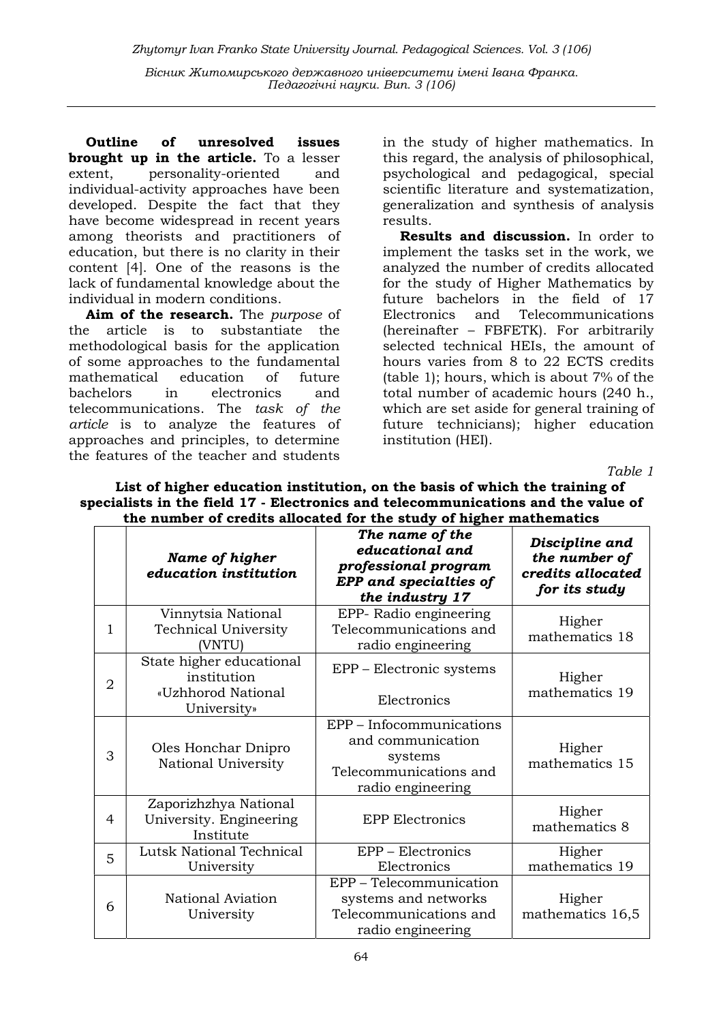Outline of unresolved issues brought up in the article. To a lesser extent, personality-oriented and individual-activity approaches have been developed. Despite the fact that they have become widespread in recent years among theorists and practitioners of education, but there is no clarity in their content [4]. One of the reasons is the lack of fundamental knowledge about the individual in modern conditions.

Aim of the research. The purpose of the article is to substantiate the methodological basis for the application of some approaches to the fundamental mathematical education of future bachelors in electronics and telecommunications. The task of the article is to analyze the features of approaches and principles, to determine the features of the teacher and students

in the study of higher mathematics. In this regard, the analysis of philosophical, psychological and pedagogical, special scientific literature and systematization, generalization and synthesis of analysis results.

Results and discussion. In order to implement the tasks set in the work, we analyzed the number of credits allocated for the study of Higher Mathematics by future bachelors in the field of 17 Electronics and Telecommunications (hereinafter – FBFETK). For arbitrarily selected technical HEIs, the amount of hours varies from 8 to 22 ECTS credits (table 1); hours, which is about 7% of the total number of academic hours (240 h., which are set aside for general training of future technicians); higher education institution (HEI).

Table 1

| the number of credits allocated for the study of higher mathematics |                                                                              |                                                                                                                |                                                                       |  |
|---------------------------------------------------------------------|------------------------------------------------------------------------------|----------------------------------------------------------------------------------------------------------------|-----------------------------------------------------------------------|--|
|                                                                     | Name of higher<br>education institution                                      | The name of the<br>educational and<br>professional program<br><b>EPP</b> and specialties of<br>the industry 17 | Discipline and<br>the number of<br>credits allocated<br>for its study |  |
| 1                                                                   | Vinnytsia National<br><b>Technical University</b><br>(VNTU)                  | EPP- Radio engineering<br>Telecommunications and<br>radio engineering                                          | Higher<br>mathematics 18                                              |  |
| 2                                                                   | State higher educational<br>institution<br>«Uzhhorod National<br>University» | EPP – Electronic systems<br>Electronics                                                                        | Higher<br>mathematics 19                                              |  |
| 3                                                                   | Oles Honchar Dnipro<br>National University                                   | EPP - Infocommunications<br>and communication<br>systems<br>Telecommunications and<br>radio engineering        | Higher<br>mathematics 15                                              |  |
| 4                                                                   | Zaporizhzhya National<br>University. Engineering<br>Institute                | <b>EPP Electronics</b>                                                                                         | Higher<br>mathematics 8                                               |  |
| 5                                                                   | <b>Lutsk National Technical</b><br>University                                | EPP - Electronics<br>Electronics                                                                               | Higher<br>mathematics 19                                              |  |
| 6                                                                   | National Aviation<br>University                                              | EPP - Telecommunication<br>systems and networks<br>Telecommunications and<br>radio engineering                 | Higher<br>mathematics 16,5                                            |  |

List of higher education institution, on the basis of which the training of specialists in the field 17 - Electronics and telecommunications and the value of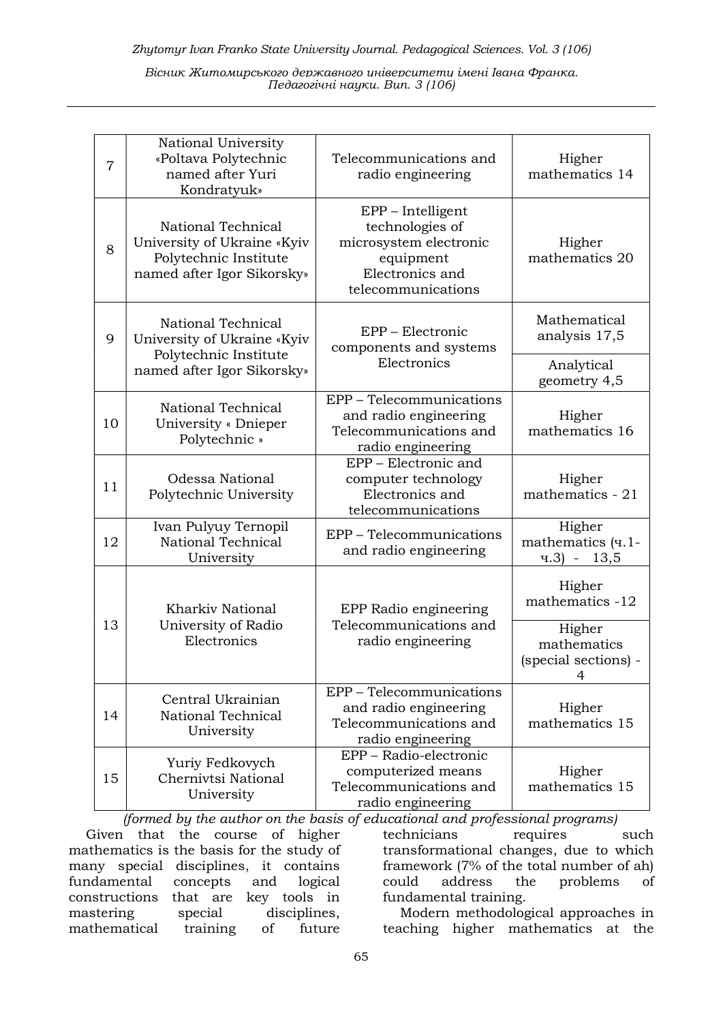| $\overline{7}$ | National University<br>«Poltava Polytechnic<br>named after Yuri<br>Kondratyuk»                           | Telecommunications and<br>radio engineering                                                                          | Higher<br>mathematics 14                           |
|----------------|----------------------------------------------------------------------------------------------------------|----------------------------------------------------------------------------------------------------------------------|----------------------------------------------------|
| 8              | National Technical<br>University of Ukraine «Kyiv<br>Polytechnic Institute<br>named after Igor Sikorsky» | EPP - Intelligent<br>technologies of<br>microsystem electronic<br>equipment<br>Electronics and<br>telecommunications | Higher<br>mathematics 20                           |
| 9              | National Technical<br>University of Ukraine «Kyiv<br>Polytechnic Institute<br>named after Igor Sikorsky» | EPP - Electronic<br>components and systems<br>Electronics                                                            | Mathematical<br>analysis 17,5                      |
|                |                                                                                                          |                                                                                                                      | Analytical<br>geometry 4,5                         |
| 10             | National Technical<br>University « Dnieper<br>Polytechnic »                                              | EPP - Telecommunications<br>and radio engineering<br>Telecommunications and<br>radio engineering                     | Higher<br>mathematics 16                           |
| 11             | Odessa National<br>Polytechnic University                                                                | EPP – Electronic and<br>computer technology<br>Electronics and<br>telecommunications                                 | Higher<br>mathematics - 21                         |
| 12             | Ivan Pulyuy Ternopil<br>National Technical<br>University                                                 | EPP - Telecommunications<br>and radio engineering                                                                    | Higher<br>mathematics (ч.1-<br>$4.3$ - 13,5        |
| 13             | <b>Kharkiv National</b>                                                                                  | EPP Radio engineering<br>Telecommunications and<br>radio engineering                                                 | Higher<br>mathematics -12                          |
|                | University of Radio<br>Electronics                                                                       |                                                                                                                      | Higher<br>mathematics<br>(special sections) -<br>4 |
| 14             | Central Ukrainian<br>National Technical<br>University                                                    | EPP - Telecommunications<br>and radio engineering<br>Telecommunications and<br>radio engineering                     | Higher<br>mathematics 15                           |
| 15             | Yuriy Fedkovych<br>Chernivtsi National<br>University                                                     | EPP - Radio-electronic<br>computerized means<br>Telecommunications and<br>radio engineering                          | Higher<br>mathematics 15                           |

(formed by the author on the basis of educational and professional programs) Given that the course of higher mathematics is the basis for the study of many special disciplines, it contains fundamental concepts and logical constructions that are key tools in mastering special disciplines, mathematical training of future

technicians requires such transformational changes, due to which framework (7% of the total number of ah) could address the problems of fundamental training.

Modern methodological approaches in teaching higher mathematics at the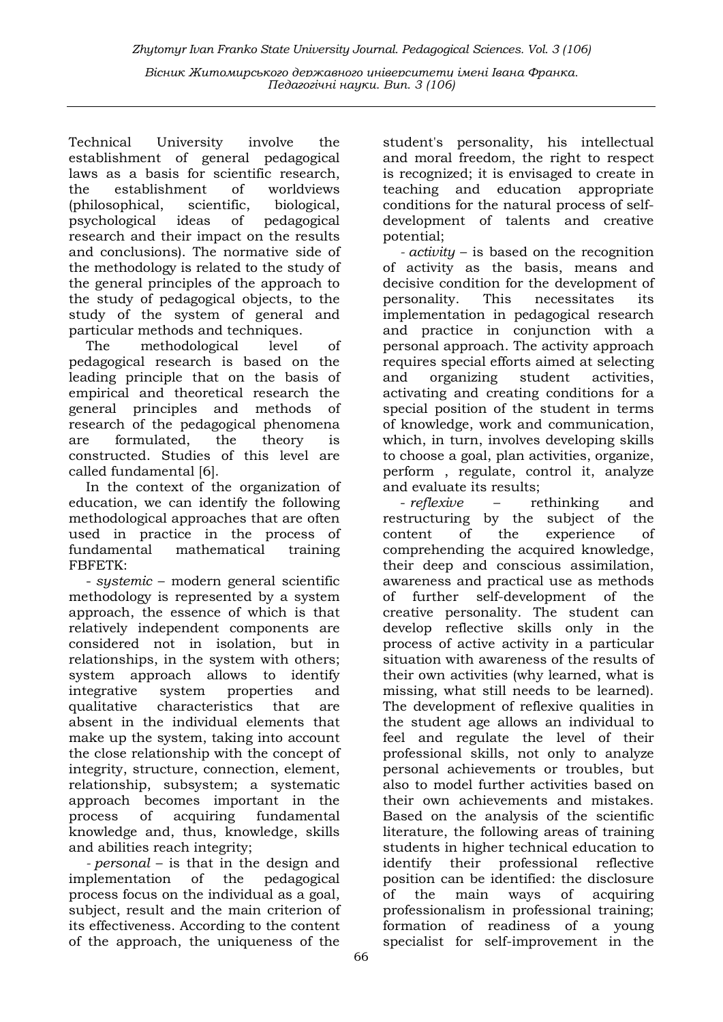Technical University involve the establishment of general pedagogical laws as a basis for scientific research, the establishment of worldviews (philosophical, scientific, biological, psychological ideas of pedagogical research and their impact on the results and conclusions). The normative side of the methodology is related to the study of the general principles of the approach to the study of pedagogical objects, to the study of the system of general and particular methods and techniques.

The methodological level of pedagogical research is based on the leading principle that on the basis of empirical and theoretical research the general principles and methods of research of the pedagogical phenomena are formulated, the theory is constructed. Studies of this level are called fundamental [6].

In the context of the organization of education, we can identify the following methodological approaches that are often used in practice in the process of fundamental mathematical training FBFETK:

- systemic – modern general scientific methodology is represented by a system approach, the essence of which is that relatively independent components are considered not in isolation, but in relationships, in the system with others; system approach allows to identify integrative system properties and qualitative characteristics that are absent in the individual elements that make up the system, taking into account the close relationship with the concept of integrity, structure, connection, element, relationship, subsystem; a systematic approach becomes important in the process of acquiring fundamental knowledge and, thus, knowledge, skills and abilities reach integrity;

- personal – is that in the design and implementation of the pedagogical process focus on the individual as a goal, subject, result and the main criterion of its effectiveness. According to the content of the approach, the uniqueness of the

student's personality, his intellectual and moral freedom, the right to respect is recognized; it is envisaged to create in teaching and education appropriate conditions for the natural process of selfdevelopment of talents and creative potential;

- activity – is based on the recognition of activity as the basis, means and decisive condition for the development of personality. This necessitates its implementation in pedagogical research and practice in conjunction with a personal approach. The activity approach requires special efforts aimed at selecting and organizing student activities, activating and creating conditions for a special position of the student in terms of knowledge, work and communication, which, in turn, involves developing skills to choose a goal, plan activities, organize, perform , regulate, control it, analyze and evaluate its results;

- *reflexive* – rethinking and restructuring by the subject of the content of the experience of comprehending the acquired knowledge, their deep and conscious assimilation, awareness and practical use as methods of further self-development of the creative personality. The student can develop reflective skills only in the process of active activity in a particular situation with awareness of the results of their own activities (why learned, what is missing, what still needs to be learned). The development of reflexive qualities in the student age allows an individual to feel and regulate the level of their professional skills, not only to analyze personal achievements or troubles, but also to model further activities based on their own achievements and mistakes. Based on the analysis of the scientific literature, the following areas of training students in higher technical education to identify their professional reflective position can be identified: the disclosure of the main ways of acquiring professionalism in professional training; formation of readiness of a young specialist for self-improvement in the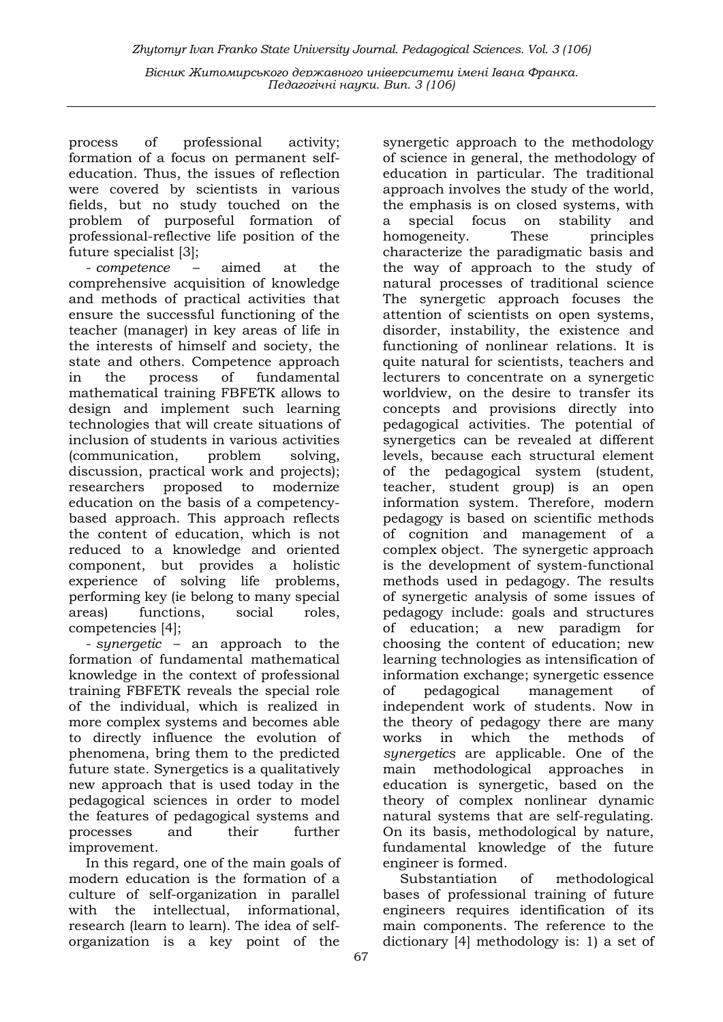process of professional activity; formation of a focus on permanent selfeducation. Thus, the issues of reflection were covered by scientists in various fields, but no study touched on the problem of purposeful formation of professional-reflective life position of the future specialist [3];

- competence – aimed at the comprehensive acquisition of knowledge and methods of practical activities that ensure the successful functioning of the teacher (manager) in key areas of life in the interests of himself and society, the state and others. Competence approach in the process of fundamental mathematical training FBFETK allows to design and implement such learning technologies that will create situations of inclusion of students in various activities (communication, problem solving, discussion, practical work and projects); researchers proposed to modernize education on the basis of a competencybased approach. This approach reflects the content of education, which is not reduced to a knowledge and oriented component, but provides a holistic experience of solving life problems, performing key (ie belong to many special areas) functions, social roles, competencies [4];

- synergetic – an approach to the formation of fundamental mathematical knowledge in the context of professional training FBFETK reveals the special role of the individual, which is realized in more complex systems and becomes able to directly influence the evolution of phenomena, bring them to the predicted future state. Synergetics is a qualitatively new approach that is used today in the pedagogical sciences in order to model the features of pedagogical systems and processes and their further improvement.

In this regard, one of the main goals of modern education is the formation of a culture of self-organization in parallel with the intellectual, informational, research (learn to learn). The idea of selforganization is a key point of the

synergetic approach to the methodology of science in general, the methodology of education in particular. The traditional approach involves the study of the world, the emphasis is on closed systems, with a special focus on stability and homogeneity. These principles characterize the paradigmatic basis and the way of approach to the study of natural processes of traditional science The synergetic approach focuses the attention of scientists on open systems, disorder, instability, the existence and functioning of nonlinear relations. It is quite natural for scientists, teachers and lecturers to concentrate on a synergetic worldview, on the desire to transfer its concepts and provisions directly into pedagogical activities. The potential of synergetics can be revealed at different levels, because each structural element of the pedagogical system (student, teacher, student group) is an open information system. Therefore, modern pedagogy is based on scientific methods of cognition and management of a complex object. The synergetic approach is the development of system-functional methods used in pedagogy. The results of synergetic analysis of some issues of pedagogy include: goals and structures of education; a new paradigm for choosing the content of education; new learning technologies as intensification of information exchange; synergetic essence of pedagogical management of independent work of students. Now in the theory of pedagogy there are many works in which the methods of synergetics are applicable. One of the main methodological approaches in education is synergetic, based on the theory of complex nonlinear dynamic natural systems that are self-regulating. On its basis, methodological by nature, fundamental knowledge of the future engineer is formed.

Substantiation of methodological bases of professional training of future engineers requires identification of its main components. The reference to the dictionary [4] methodology is: 1) a set of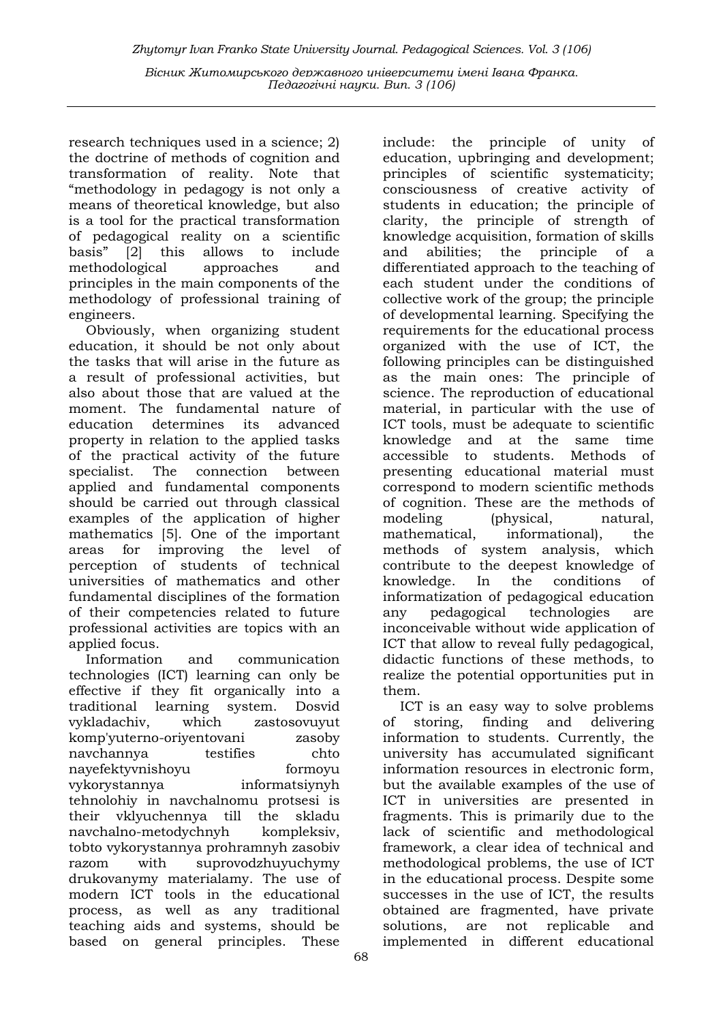research techniques used in a science; 2) the doctrine of methods of cognition and transformation of reality. Note that "methodology in pedagogy is not only a means of theoretical knowledge, but also is a tool for the practical transformation of pedagogical reality on a scientific basis" [2] this allows to include methodological approaches and principles in the main components of the methodology of professional training of engineers.

Obviously, when organizing student education, it should be not only about the tasks that will arise in the future as a result of professional activities, but also about those that are valued at the moment. The fundamental nature of education determines its advanced property in relation to the applied tasks of the practical activity of the future specialist. The connection between applied and fundamental components should be carried out through classical examples of the application of higher mathematics [5]. One of the important areas for improving the level of perception of students of technical universities of mathematics and other fundamental disciplines of the formation of their competencies related to future professional activities are topics with an applied focus.

Information and communication technologies (ICT) learning can only be effective if they fit organically into a traditional learning system. Dosvid vykladachiv, which zastosovuyut komp'yuterno-oriyentovani zasoby navchannya testifies chto nayefektyvnishoyu formoyu vykorystannya informatsiynyh tehnolohiy in navchalnomu protsesi is their vklyuchennya till the skladu navchalno-metodychnyh kompleksiv, tobto vykorystannya prohramnyh zasobiv razom with suprovodzhuyuchymy drukovanymy materialamy. The use of modern ICT tools in the educational process, as well as any traditional teaching aids and systems, should be based on general principles. These

include: the principle of unity of education, upbringing and development; principles of scientific systematicity; consciousness of creative activity of students in education; the principle of clarity, the principle of strength of knowledge acquisition, formation of skills and abilities; the principle of a differentiated approach to the teaching of each student under the conditions of collective work of the group; the principle of developmental learning. Specifying the requirements for the educational process organized with the use of ICT, the following principles can be distinguished as the main ones: The principle of science. The reproduction of educational material, in particular with the use of ICT tools, must be adequate to scientific knowledge and at the same time accessible to students. Methods of presenting educational material must correspond to modern scientific methods of cognition. These are the methods of modeling (physical, natural, mathematical, informational), the methods of system analysis, which contribute to the deepest knowledge of knowledge. In the conditions of informatization of pedagogical education any pedagogical technologies are inconceivable without wide application of ICT that allow to reveal fully pedagogical, didactic functions of these methods, to realize the potential opportunities put in them.

ICT is an easy way to solve problems of storing, finding and delivering information to students. Currently, the university has accumulated significant information resources in electronic form, but the available examples of the use of ICT in universities are presented in fragments. This is primarily due to the lack of scientific and methodological framework, a clear idea of technical and methodological problems, the use of ICT in the educational process. Despite some successes in the use of ICT, the results obtained are fragmented, have private solutions, are not replicable and implemented in different educational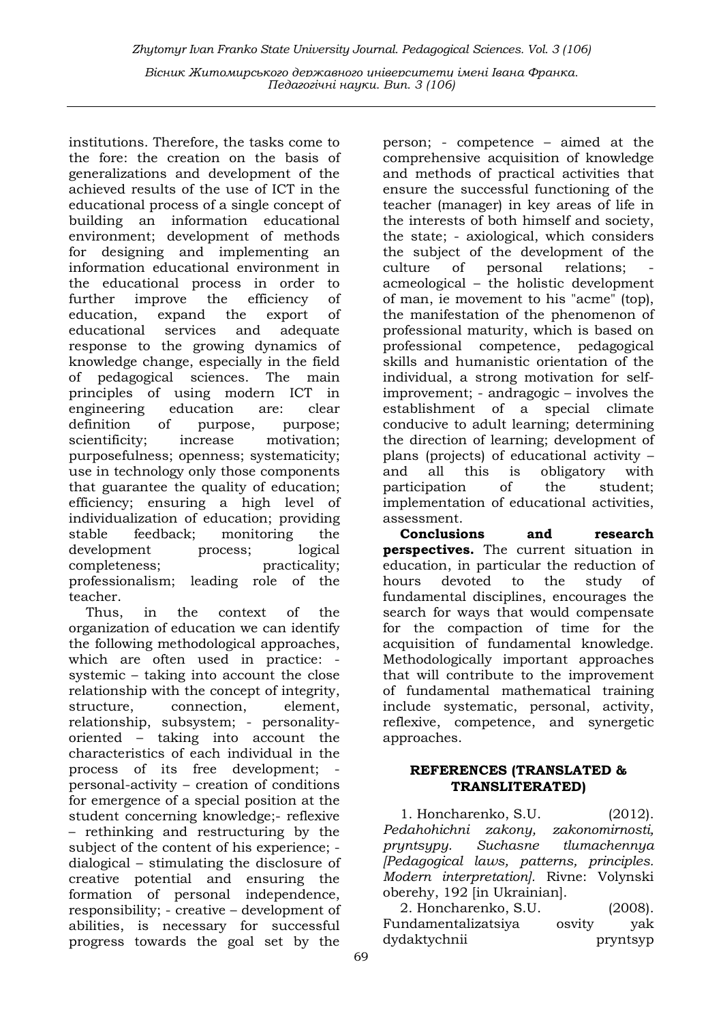institutions. Therefore, the tasks come to the fore: the creation on the basis of generalizations and development of the achieved results of the use of ICT in the educational process of a single concept of building an information educational environment; development of methods for designing and implementing an information educational environment in the educational process in order to further improve the efficiency of education, expand the export of educational services and adequate response to the growing dynamics of knowledge change, especially in the field of pedagogical sciences. The main principles of using modern ICT in engineering education are: clear definition of purpose, purpose; scientificity; increase motivation; purposefulness; openness; systematicity; use in technology only those components that guarantee the quality of education; efficiency; ensuring a high level of individualization of education; providing stable feedback; monitoring the development process; logical completeness: practicality: professionalism; leading role of the teacher.

Thus, in the context of the organization of education we can identify the following methodological approaches, which are often used in practice: systemic – taking into account the close relationship with the concept of integrity, structure, connection, element, relationship, subsystem; - personalityoriented – taking into account the characteristics of each individual in the process of its free development; personal-activity – creation of conditions for emergence of a special position at the student concerning knowledge;- reflexive – rethinking and restructuring by the subject of the content of his experience; dialogical – stimulating the disclosure of creative potential and ensuring the formation of personal independence, responsibility; - creative – development of abilities, is necessary for successful progress towards the goal set by the

person; - competence – aimed at the comprehensive acquisition of knowledge and methods of practical activities that ensure the successful functioning of the teacher (manager) in key areas of life in the interests of both himself and society, the state; - axiological, which considers the subject of the development of the culture of personal relations; acmeological – the holistic development of man, ie movement to his "acme" (top), the manifestation of the phenomenon of professional maturity, which is based on professional competence, pedagogical skills and humanistic orientation of the individual, a strong motivation for selfimprovement; - andragogic – involves the establishment of a special climate conducive to adult learning; determining the direction of learning; development of plans (projects) of educational activity – and all this is obligatory with participation of the student; implementation of educational activities, assessment.

Conclusions and research perspectives. The current situation in education, in particular the reduction of hours devoted to the study of fundamental disciplines, encourages the search for ways that would compensate for the compaction of time for the acquisition of fundamental knowledge. Methodologically important approaches that will contribute to the improvement of fundamental mathematical training include systematic, personal, activity, reflexive, competence, and synergetic approaches.

## REFERENCES (TRANSLATED & TRANSLITERATED)

1. Honcharenko, S.U. (2012). Pedahohichni zakony, zakonomirnosti, pryntsypy. Suchasne tlumachennya [Pedagogical laws, patterns, principles. Modern interpretation]. Rivne: Volynski oberehy, 192 [in Ukrainian].

2. Honcharenko, S.U. (2008). Fundamentalizatsiya osvity yak dydaktychnii pryntsyp